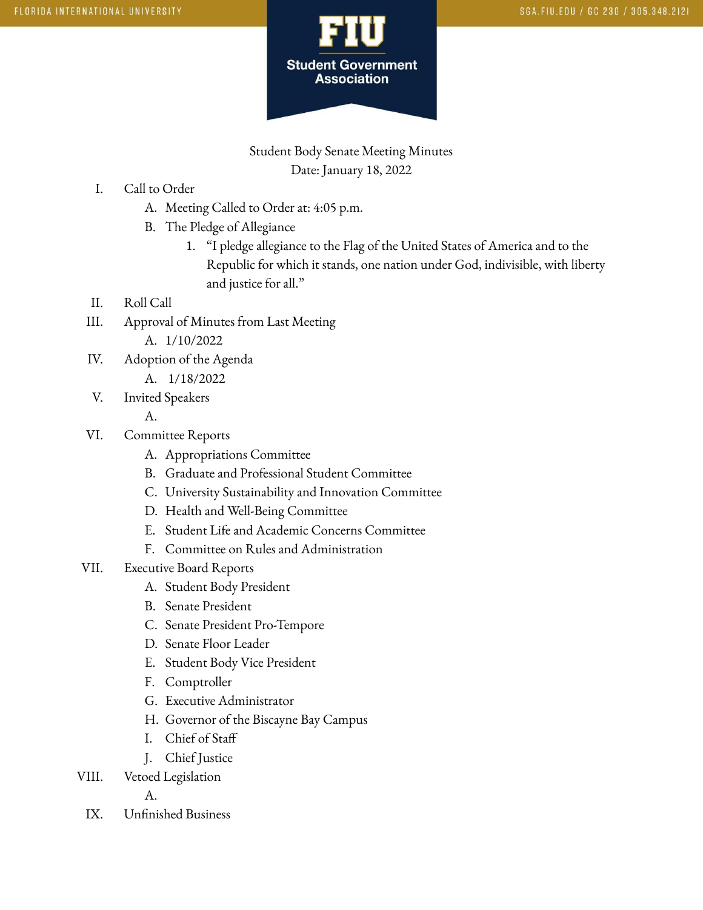

Student Body Senate Meeting Minutes Date: January 18, 2022

- I. Call to Order
	- A. Meeting Called to Order at: 4:05 p.m.
	- B. The Pledge of Allegiance
		- 1. "I pledge allegiance to the Flag of the United States of America and to the Republic for which it stands, one nation under God, indivisible, with liberty and justice for all."
- II. Roll Call
- III. Approval of Minutes from Last Meeting
	- A. 1/10/2022
- IV. Adoption of the Agenda
	- A. 1/18/2022
- V. Invited Speakers

A.

- VI. Committee Reports
	- A. Appropriations Committee
	- B. Graduate and Professional Student Committee
	- C. University Sustainability and Innovation Committee
	- D. Health and Well-Being Committee
	- E. Student Life and Academic Concerns Committee
	- F. Committee on Rules and Administration
- VII. Executive Board Reports
	- A. Student Body President
	- B. Senate President
	- C. Senate President Pro-Tempore
	- D. Senate Floor Leader
	- E. Student Body Vice President
	- F. Comptroller
	- G. Executive Administrator
	- H. Governor of the Biscayne Bay Campus
	- I. Chief of Staff
	- J. Chief Justice
- VIII. Vetoed Legislation

A.

IX. Unfinished Business